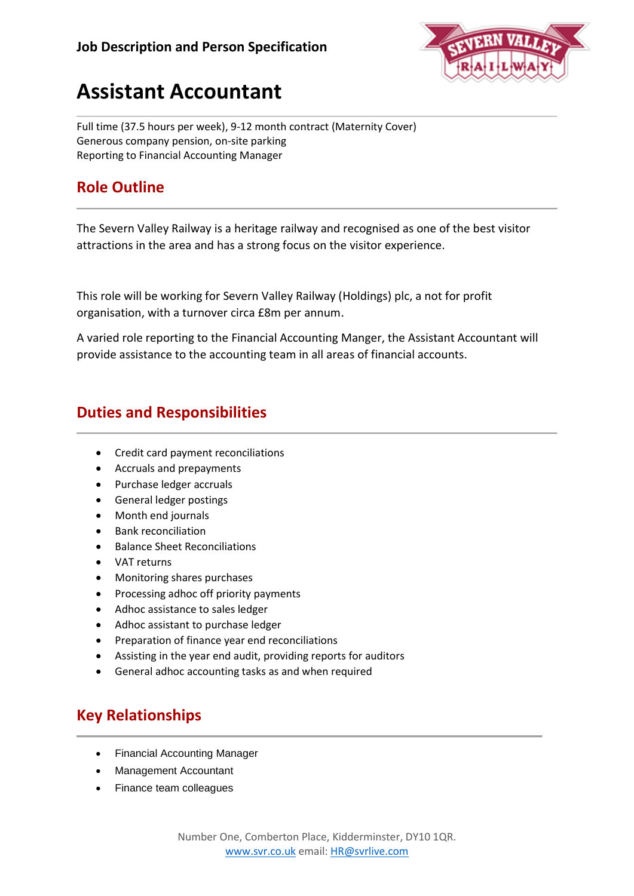

# **Assistant Accountant**

Full time (37.5 hours per week), 9-12 month contract (Maternity Cover) Generous company pension, on-site parking Reporting to Financial Accounting Manager

## **Role Outline**

The Severn Valley Railway is a heritage railway and recognised as one of the best visitor attractions in the area and has a strong focus on the visitor experience.

This role will be working for Severn Valley Railway (Holdings) plc, a not for profit organisation, with a turnover circa £8m per annum.

A varied role reporting to the Financial Accounting Manger, the Assistant Accountant will provide assistance to the accounting team in all areas of financial accounts.

## **Duties and Responsibilities**

- Credit card payment reconciliations
- Accruals and prepayments
- Purchase ledger accruals
- General ledger postings
- Month end journals
- Bank reconciliation
- Balance Sheet Reconciliations
- VAT returns
- Monitoring shares purchases
- Processing adhoc off priority payments
- Adhoc assistance to sales ledger
- Adhoc assistant to purchase ledger
- Preparation of finance year end reconciliations
- Assisting in the year end audit, providing reports for auditors
- General adhoc accounting tasks as and when required

## **Key Relationships**

- Financial Accounting Manager
- Management Accountant
- Finance team colleagues